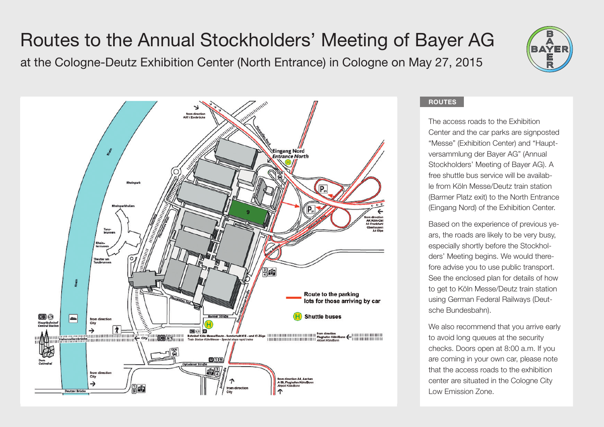## Routes to the Annual Stockholders' Meeting of Bayer AG

at the Cologne-Deutz Exhibition Center (North Entrance) in Cologne on May 27, 2015





## **ROUTES**

The access roads to the Exhibition Center and the car parks are signposted "Messe" (Exhibition Center) and "Hauptversammlung der Bayer AG" (Annual Stockholders' Meeting of Bayer AG). A free shuttle bus service will be available from Köln Messe/Deutz train station (Barmer Platz exit) to the North Entrance (Eingang Nord) of the Exhibition Center.

Based on the experience of previous years, the roads are likely to be very busy, especially shortly before the Stockholders' Meeting begins. We would therefore advise you to use public transport. See the enclosed plan for details of how to get to Köln Messe/Deutz train station using German Federal Railways (Deutsche Bundesbahn).

We also recommend that you arrive early to avoid long queues at the security checks. Doors open at 8:00 a.m. If you are coming in your own car, please note that the access roads to the exhibition center are situated in the Cologne City Low Emission Zone.